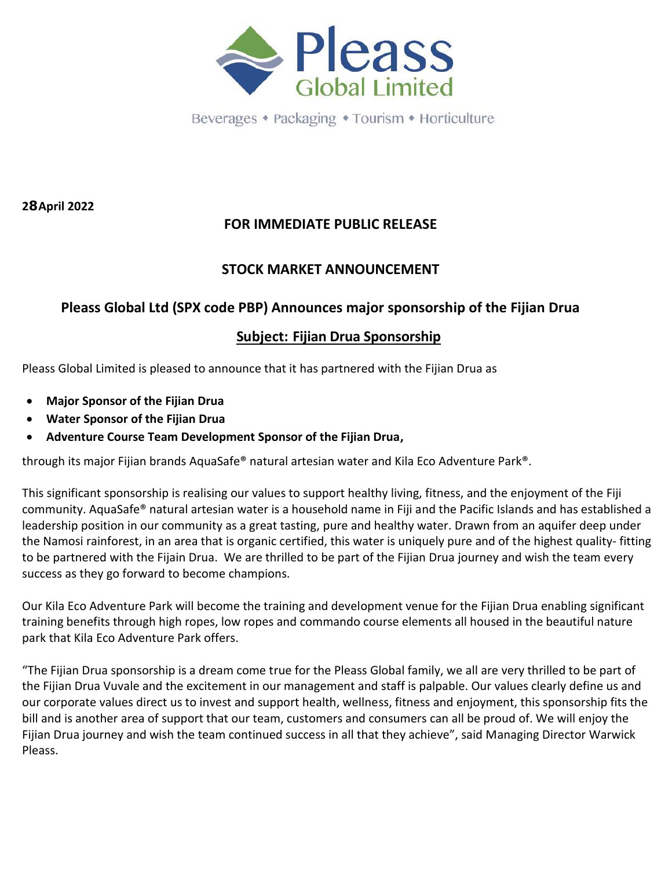

Beverages • Packaging • Tourism • Horticulture

**28 April 2022**

### **FOR IMMEDIATE PUBLIC RELEASE**

#### **STOCK MARKET ANNOUNCEMENT**

#### **Pleass Global Ltd (SPX code PBP) Announces major sponsorship of the Fijian Drua**

#### **Subject: Fijian Drua Sponsorship**

Pleass Global Limited is pleased to announce that it has partnered with the Fijian Drua as

- **Major Sponsor of the Fijian Drua**
- **Water Sponsor of the Fijian Drua**
- **Adventure Course Team Development Sponsor of the Fijian Drua,**

through its major Fijian brands AquaSafe® natural artesian water and Kila Eco Adventure Park®.

This significant sponsorship is realising our values to support healthy living, fitness, and the enjoyment of the Fiji community. AquaSafe® natural artesian water is a household name in Fiji and the Pacific Islands and has established a leadership position in our community as a great tasting, pure and healthy water. Drawn from an aquifer deep under the Namosi rainforest, in an area that is organic certified, this water is uniquely pure and of the highest quality- fitting to be partnered with the Fijain Drua. We are thrilled to be part of the Fijian Drua journey and wish the team every success as they go forward to become champions.

Our Kila Eco Adventure Park will become the training and development venue for the Fijian Drua enabling significant training benefits through high ropes, low ropes and commando course elements all housed in the beautiful nature park that Kila Eco Adventure Park offers.

"The Fijian Drua sponsorship is a dream come true for the Pleass Global family, we all are very thrilled to be part of the Fijian Drua Vuvale and the excitement in our management and staff is palpable. Our values clearly define us and our corporate values direct us to invest and support health, wellness, fitness and enjoyment, this sponsorship fits the bill and is another area of support that our team, customers and consumers can all be proud of. We will enjoy the Fijian Drua journey and wish the team continued success in all that they achieve", said Managing Director Warwick Pleass.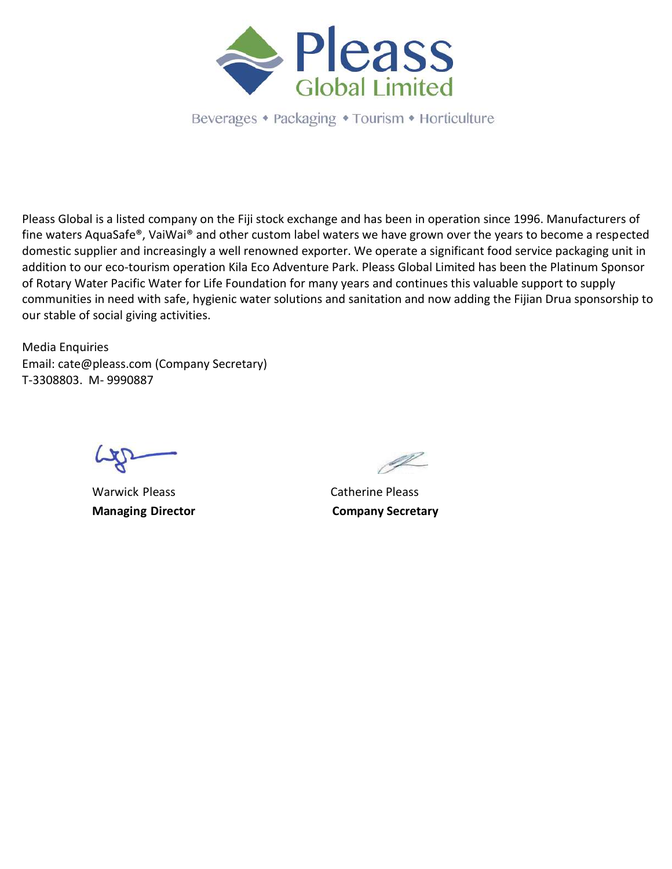

Beverages • Packaging • Tourism • Horticulture

Pleass Global is a listed company on the Fiji stock exchange and has been in operation since 1996. Manufacturers of fine waters AquaSafe®, VaiWai® and other custom label waters we have grown over the years to become a respected domestic supplier and increasingly a well renowned exporter. We operate a significant food service packaging unit in addition to our eco-tourism operation Kila Eco Adventure Park. Pleass Global Limited has been the Platinum Sponsor of Rotary Water Pacific Water for Life Foundation for many years and continues this valuable support to supply communities in need with safe, hygienic water solutions and sanitation and now adding the Fijian Drua sponsorship to our stable of social giving activities.

Media Enquiries Email: cate@pleass.com (Company Secretary) T-3308803. M- 9990887

Warwick Pleass **Catherine Pleass** 

<u>I</u>

**Managing Director Company Secretary**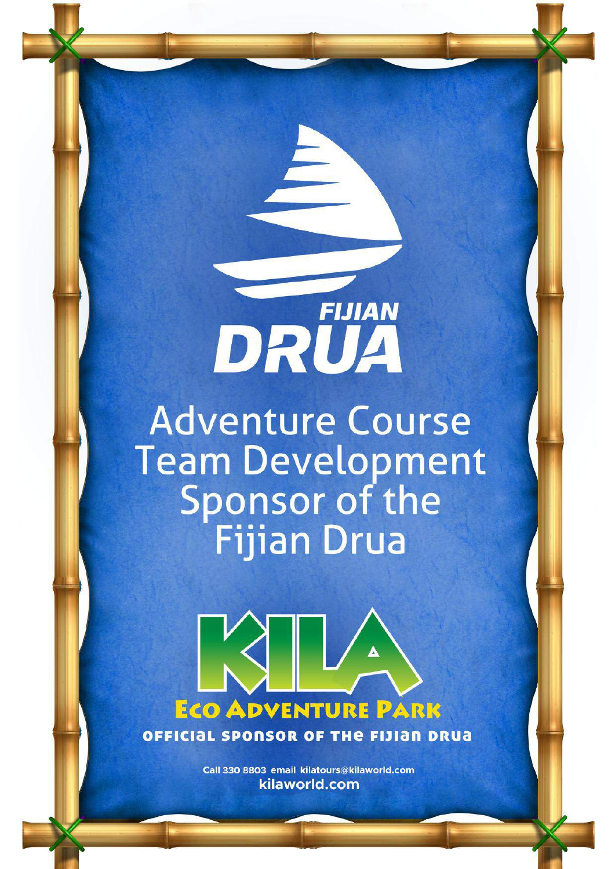DRUA **Adventure Course** Team Development<br>Sponsor of the<br>Fijian Drua

**FIJIAN** 



Call 330 8803 email kilatours@kilaworld.com kilaworld.com